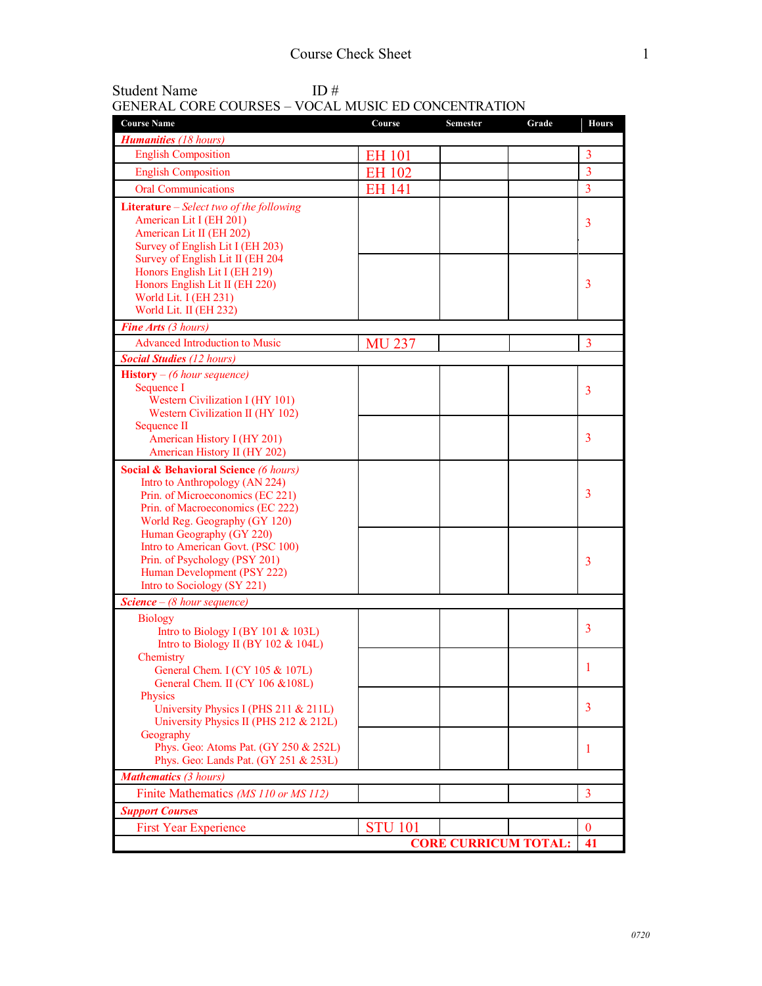| <b>Student Name</b>                                        | ID# |  |
|------------------------------------------------------------|-----|--|
| <b>GENERAL CORE COURSES – VOCAL MUSIC ED CONCENTRATION</b> |     |  |

| <b>Course Name</b>                                                   | Course         | <b>Semester</b>             | Grade | <b>Hours</b>   |
|----------------------------------------------------------------------|----------------|-----------------------------|-------|----------------|
| <b>Humanities</b> (18 hours)                                         |                |                             |       |                |
| <b>English Composition</b>                                           | <b>EH 101</b>  |                             |       | 3              |
| <b>English Composition</b>                                           | <b>EH 102</b>  |                             |       | 3              |
| <b>Oral Communications</b>                                           | <b>EH 141</b>  |                             |       | $\overline{3}$ |
| Literature - Select two of the following                             |                |                             |       |                |
| American Lit I (EH 201)                                              |                |                             |       | 3              |
| American Lit II (EH 202)<br>Survey of English Lit I (EH 203)         |                |                             |       |                |
| Survey of English Lit II (EH 204                                     |                |                             |       |                |
| Honors English Lit I (EH 219)                                        |                |                             |       |                |
| Honors English Lit II (EH 220)                                       |                |                             |       | 3              |
| World Lit. I (EH 231)                                                |                |                             |       |                |
| World Lit. II (EH 232)                                               |                |                             |       |                |
| Fine Arts (3 hours)                                                  |                |                             |       |                |
| <b>Advanced Introduction to Music</b>                                | <b>MU 237</b>  |                             |       | 3              |
| <b>Social Studies (12 hours)</b>                                     |                |                             |       |                |
| <b>History</b> – (6 hour sequence)                                   |                |                             |       |                |
| Sequence I<br>Western Civilization I (HY 101)                        |                |                             |       | 3              |
| Western Civilization II (HY 102)                                     |                |                             |       |                |
| Sequence II                                                          |                |                             |       |                |
| American History I (HY 201)                                          |                |                             |       | 3              |
| American History II (HY 202)                                         |                |                             |       |                |
| <b>Social &amp; Behavioral Science (6 hours)</b>                     |                |                             |       |                |
| Intro to Anthropology (AN 224)                                       |                |                             |       | 3              |
| Prin. of Microeconomics (EC 221)<br>Prin. of Macroeconomics (EC 222) |                |                             |       |                |
| World Reg. Geography (GY 120)                                        |                |                             |       |                |
| Human Geography (GY 220)                                             |                |                             |       |                |
| Intro to American Govt. (PSC 100)                                    |                |                             |       |                |
| Prin. of Psychology (PSY 201)                                        |                |                             |       | 3              |
| Human Development (PSY 222)<br>Intro to Sociology (SY 221)           |                |                             |       |                |
| <b>Science</b> $-$ (8 hour sequence)                                 |                |                             |       |                |
| <b>Biology</b>                                                       |                |                             |       |                |
| Intro to Biology I (BY 101 $&$ 103L)                                 |                |                             |       | 3              |
| Intro to Biology II (BY 102 $&$ 104L)                                |                |                             |       |                |
| Chemistry                                                            |                |                             |       |                |
| General Chem. $I$ (CY 105 & 107L)                                    |                |                             |       | 1              |
| General Chem. II (CY 106 & 108L)<br>Physics                          |                |                             |       |                |
| University Physics I (PHS 211 & 211L)                                |                |                             |       | 3              |
| University Physics II (PHS 212 & 212L)                               |                |                             |       |                |
| Geography                                                            |                |                             |       |                |
| Phys. Geo: Atoms Pat. (GY 250 & 252L)                                |                |                             |       | 1              |
| Phys. Geo: Lands Pat. (GY 251 & 253L)                                |                |                             |       |                |
| <b>Mathematics (3 hours)</b>                                         |                |                             |       |                |
| Finite Mathematics (MS 110 or MS 112)                                |                |                             |       | $\overline{3}$ |
| <b>Support Courses</b>                                               |                |                             |       |                |
| <b>First Year Experience</b>                                         | <b>STU 101</b> |                             |       | $\bf{0}$       |
|                                                                      |                | <b>CORE CURRICUM TOTAL:</b> |       | 41             |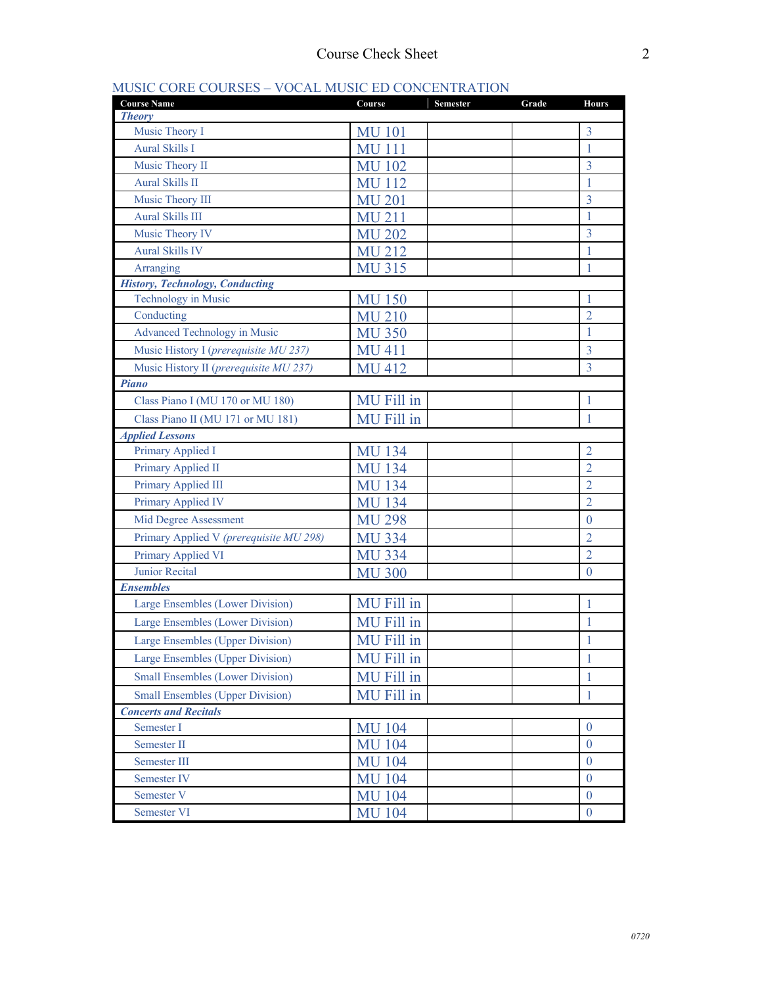## MUSIC CORE COURSES – VOCAL MUSIC ED CONCENTRATION

| <b>Course Name</b>                      | Course        | Semester | Grade | <b>Hours</b>     |
|-----------------------------------------|---------------|----------|-------|------------------|
| <b>Theory</b>                           |               |          |       |                  |
| Music Theory I                          | <b>MU 101</b> |          |       | $\overline{3}$   |
| <b>Aural Skills I</b>                   | <b>MU111</b>  |          |       | 1                |
| Music Theory II                         | <b>MU 102</b> |          |       | 3                |
| <b>Aural Skills II</b>                  | <b>MU 112</b> |          |       | 1                |
| Music Theory III                        | <b>MU 201</b> |          |       | 3                |
| <b>Aural Skills III</b>                 | <b>MU 211</b> |          |       | 1                |
| Music Theory IV                         | <b>MU 202</b> |          |       | 3                |
| <b>Aural Skills IV</b>                  | <b>MU 212</b> |          |       |                  |
| Arranging                               | <b>MU 315</b> |          |       | 1                |
| <b>History, Technology, Conducting</b>  |               |          |       |                  |
| Technology in Music                     | <b>MU 150</b> |          |       |                  |
| Conducting                              | <b>MU 210</b> |          |       | $\overline{2}$   |
| <b>Advanced Technology in Music</b>     | <b>MU 350</b> |          |       | 1                |
| Music History I (prerequisite MU 237)   | <b>MU 411</b> |          |       | 3                |
| Music History II (prerequisite MU 237)  | <b>MU 412</b> |          |       | $\overline{3}$   |
| <b>Piano</b>                            |               |          |       |                  |
| Class Piano I (MU 170 or MU 180)        | MU Fill in    |          |       | 1                |
| Class Piano II (MU 171 or MU 181)       | MU Fill in    |          |       | 1                |
| <b>Applied Lessons</b>                  |               |          |       |                  |
| Primary Applied I                       | <b>MU 134</b> |          |       | $\overline{2}$   |
| Primary Applied II                      | <b>MU 134</b> |          |       | $\overline{2}$   |
| Primary Applied III                     | <b>MU 134</b> |          |       | $\overline{2}$   |
| Primary Applied IV                      | <b>MU 134</b> |          |       | $\overline{2}$   |
| Mid Degree Assessment                   | <b>MU 298</b> |          |       | $\theta$         |
| Primary Applied V (prerequisite MU 298) | <b>MU 334</b> |          |       | $\overline{2}$   |
| Primary Applied VI                      | <b>MU 334</b> |          |       | $\overline{2}$   |
| <b>Junior Recital</b>                   | <b>MU 300</b> |          |       | $\theta$         |
| <b>Ensembles</b>                        |               |          |       |                  |
| Large Ensembles (Lower Division)        | MU Fill in    |          |       | 1                |
| Large Ensembles (Lower Division)        | MU Fill in    |          |       | 1                |
| Large Ensembles (Upper Division)        | MU Fill in    |          |       | 1                |
| <b>Large Ensembles (Upper Division)</b> | MU Fill in    |          |       | 1                |
| <b>Small Ensembles (Lower Division)</b> | MU Fill in    |          |       | 1                |
| <b>Small Ensembles (Upper Division)</b> | MU Fill in    |          |       | $\mathbf{1}$     |
| <b>Concerts and Recitals</b>            |               |          |       |                  |
| Semester I                              | <b>MU 104</b> |          |       | $\overline{0}$   |
| Semester II                             | <b>MU 104</b> |          |       | $\mathbf{0}$     |
| Semester III                            | <b>MU 104</b> |          |       | $\theta$         |
| Semester IV                             | <b>MU 104</b> |          |       | $\theta$         |
| Semester V                              | <b>MU 104</b> |          |       | $\overline{0}$   |
| Semester VI                             | <b>MU 104</b> |          |       | $\boldsymbol{0}$ |